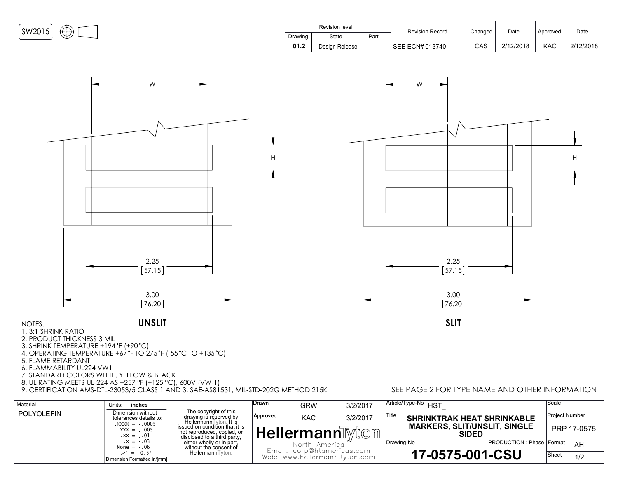